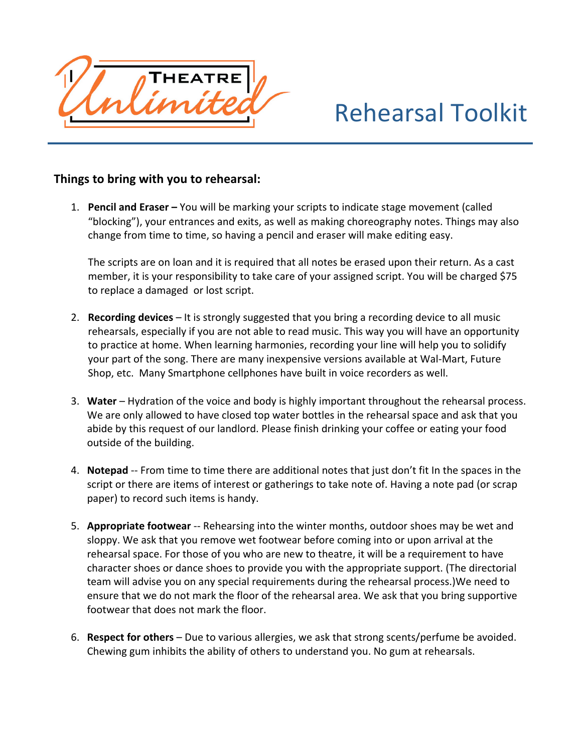

## Rehearsal
Toolkit

## Things to bring with you to rehearsal:

1. **Pencil and Eraser** – You will be marking your scripts to indicate stage movement (called "blocking"), your entrances and exits, as well as making choreography notes. Things may also change
from
time
to
time,
so
having
a
pencil
and
eraser
will
make
editing
easy.

The scripts are on loan and it is required that all notes be erased upon their return. As a cast member, it is your responsibility to take care of your assigned script. You will be charged \$75 to
replace
a
damaged

or
lost
script.

- 2. **Recording devices** It is strongly suggested that you bring a recording device to all music rehearsals, especially if you are not able to read music. This way you will have an opportunity to practice at home. When learning harmonies, recording your line will help you to solidify your
part
of
the
song.
There
are
many
inexpensive
versions
available
at
Wal‐Mart,
Future Shop, etc.

Many
Smartphone
cellphones
have
built
in
voice
recorders
as
well.
- 3. Water Hydration of the voice and body is highly important throughout the rehearsal process. We are only allowed to have closed top water bottles in the rehearsal space and ask that you abide by this request of our landlord. Please finish drinking your coffee or eating your food outside
of
the
building.
- 4. Notepad -- From time to time there are additional notes that just don't fit In the spaces in the script or there are items of interest or gatherings to take note of. Having a note pad (or scrap paper)
to
record
such
items
is
handy.
- 5. **Appropriate footwear** -- Rehearsing into the winter months, outdoor shoes may be wet and sloppy. We ask that you remove wet footwear before coming into or upon arrival at the rehearsal space. For those of you who are new to theatre, it will be a requirement to have character
shoes
or
dance
shoes
to
provide
you
with
the
appropriate
support.
(The
directorial team will advise you on any special requirements during the rehearsal process.) We need to ensure that we do not mark the floor of the rehearsal area. We ask that you bring supportive footwear
that
does
not
mark
the
floor.
- 6. Respect for others Due to various allergies, we ask that strong scents/perfume be avoided. Chewing gum inhibits the ability of others to understand you. No gum at rehearsals.